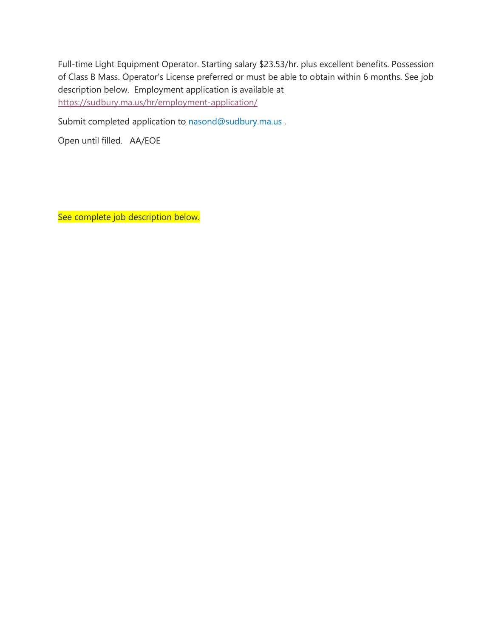Full-time Light Equipment Operator. Starting salary \$23.53/hr. plus excellent benefits. Possession of Class B Mass. Operator's License preferred or must be able to obtain within 6 months. See job description below. Employment application is available at <https://sudbury.ma.us/hr/employment-application/>

Submit completed application to [nasond@sudbury.ma.us](mailto:nasond@sudbury.ma.us) .

Open until filled. AA/EOE

See complete job description below.